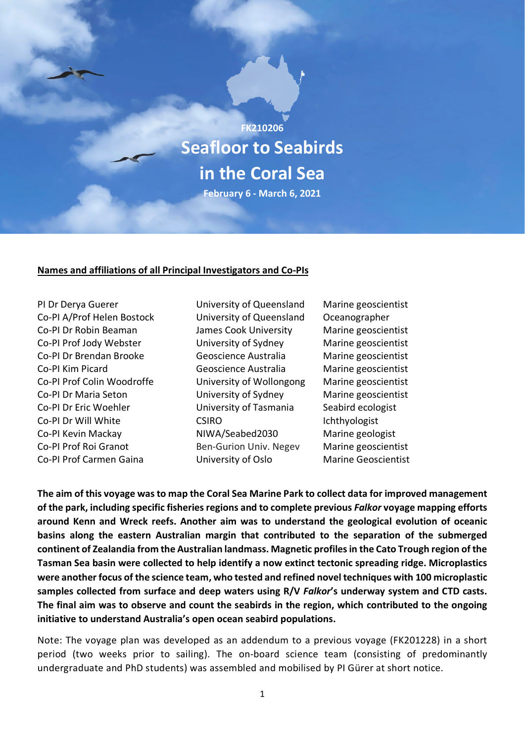

#### **Names and affiliations of all Principal Investigators and Co-PIs**

PI Dr Derya Guerer University of Queensland Marine geoscientist Co-PI A/Prof Helen Bostock University of Queensland Oceanographer Co-PI Dr Robin Beaman James Cook University Marine geoscientist Co-PI Prof Jody Webster University of Sydney Marine geoscientist Co-PI Dr Brendan Brooke Geoscience Australia Marine geoscientist Co-PI Kim Picard Geoscience Australia Marine geoscientist Co-PI Prof Colin Woodroffe University of Wollongong Marine geoscientist Co-PI Dr Maria Seton University of Sydney Marine geoscientist Co-PI Dr Eric Woehler **University of Tasmania** Seabird ecologist Co-PI Dr Will White CSIRO Ichthyologist Co-PI Kevin Mackay MIWA/Seabed2030 Marine geologist Co-PI Prof Roi Granot Ben-Gurion Univ. Negev Marine geoscientist Co-PI Prof Carmen Gaina University of Oslo Marine Geoscientist

**The aim of this voyage was to map the Coral Sea Marine Park to collect data for improved management of the park, including specific fisheries regions and to complete previous** *Falkor* **voyage mapping efforts around Kenn and Wreck reefs. Another aim was to understand the geological evolution of oceanic basins along the eastern Australian margin that contributed to the separation of the submerged continent of Zealandia from the Australian landmass. Magnetic profiles in the Cato Trough region of the Tasman Sea basin were collected to help identify a now extinct tectonic spreading ridge. Microplastics were another focus of the science team, who tested and refined novel techniques with 100 microplastic samples collected from surface and deep waters using R/V** *Falkor***'s underway system and CTD casts. The final aim was to observe and count the seabirds in the region, which contributed to the ongoing initiative to understand Australia's open ocean seabird populations.** 

Note: The voyage plan was developed as an addendum to a previous voyage (FK201228) in a short period (two weeks prior to sailing). The on-board science team (consisting of predominantly undergraduate and PhD students) was assembled and mobilised by PI Gürer at short notice.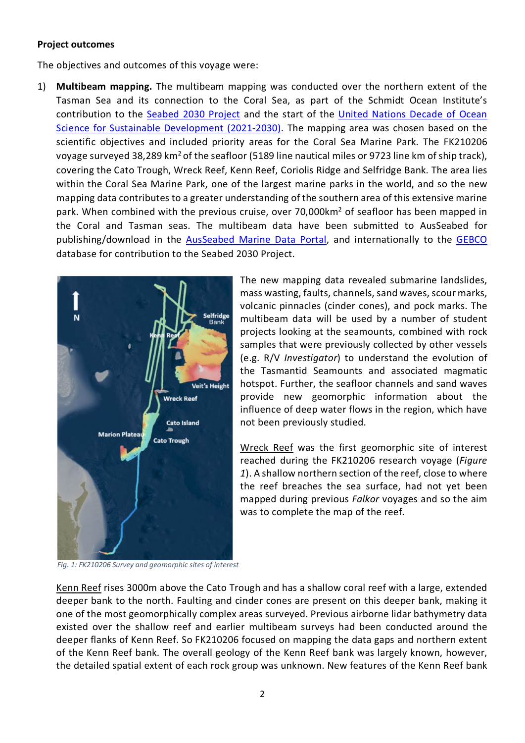#### **Project outcomes**

The objectives and outcomes of this voyage were:

1) **Multibeam mapping.** The multibeam mapping was conducted over the northern extent of the Tasman Sea and its connection to the Coral Sea, as part of the Schmidt Ocean Institute's contribution to the [Seabed](https://seabed2030.org/) 2030 Project and the start of the [United Nations Decade of Ocean](https://www.oceandecade.org/)  [Science for Sustainable Development](https://www.oceandecade.org/) (2021-2030). The mapping area was chosen based on the scientific objectives and included priority areas for the Coral Sea Marine Park. The FK210206 voyage surveyed 38,289 km<sup>2</sup> of the seafloor (5189 line nautical miles or 9723 line km of ship track), covering the Cato Trough, Wreck Reef, Kenn Reef, Coriolis Ridge and Selfridge Bank. The area lies within the Coral Sea Marine Park, one of the largest marine parks in the world, and so the new mapping data contributes to a greater understanding of the southern area of this extensive marine park. When combined with the previous cruise, over 70,000 km<sup>2</sup> of seafloor has been mapped in the Coral and Tasman seas. The multibeam data have been submitted to AusSeabed for publishing/download in the [AusSeabed Marine Data Portal,](https://portal.ga.gov.au/persona/marine) and internationally to the [GEBCO](https://www.gebco.net/) database for contribution to the Seabed 2030 Project.



The new mapping data revealed submarine landslides, mass wasting, faults, channels, sand waves, scour marks, volcanic pinnacles (cinder cones), and pock marks. The multibeam data will be used by a number of student projects looking at the seamounts, combined with rock samples that were previously collected by other vessels (e.g. R/V *Investigator*) to understand the evolution of the Tasmantid Seamounts and associated magmatic hotspot. Further, the seafloor channels and sand waves provide new geomorphic information about the influence of deep water flows in the region, which have not been previously studied.

Wreck Reef was the first geomorphic site of interest reached during the FK210206 research voyage (*Figure 1*). A shallow northern section of the reef, close to where the reef breaches the sea surface, had not yet been mapped during previous *Falkor* voyages and so the aim was to complete the map of the reef.

*Fig. 1: FK210206 Survey and geomorphic sites of interest* 

Kenn Reef rises 3000m above the Cato Trough and has a shallow coral reef with a large, extended deeper bank to the north. Faulting and cinder cones are present on this deeper bank, making it one of the most geomorphically complex areas surveyed. Previous airborne lidar bathymetry data existed over the shallow reef and earlier multibeam surveys had been conducted around the deeper flanks of Kenn Reef. So FK210206 focused on mapping the data gaps and northern extent of the Kenn Reef bank. The overall geology of the Kenn Reef bank was largely known, however, the detailed spatial extent of each rock group was unknown. New features of the Kenn Reef bank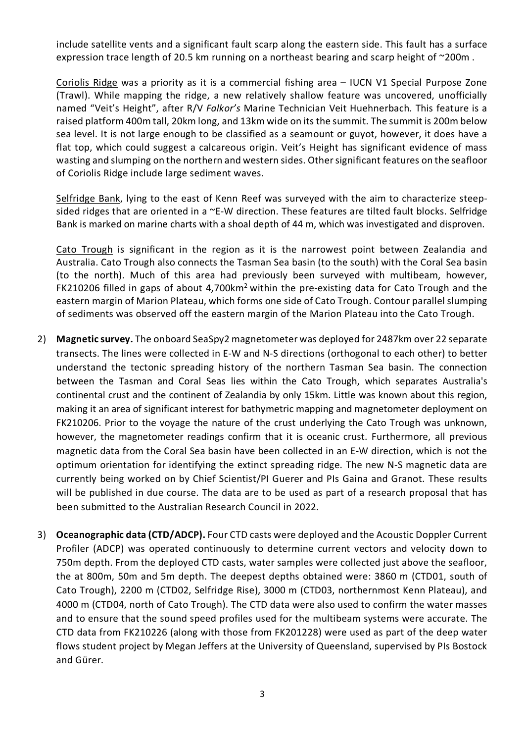include satellite vents and a significant fault scarp along the eastern side. This fault has a surface expression trace length of 20.5 km running on a northeast bearing and scarp height of ~200m.

Coriolis Ridge was a priority as it is a commercial fishing area – IUCN V1 Special Purpose Zone (Trawl). While mapping the ridge, a new relatively shallow feature was uncovered, unofficially named "Veit's Height", after R/V *Falkor's* Marine Technician Veit Huehnerbach. This feature is a raised platform 400m tall, 20km long, and 13km wide on its the summit. The summit is 200m below sea level. It is not large enough to be classified as a seamount or guyot, however, it does have a flat top, which could suggest a calcareous origin. Veit's Height has significant evidence of mass wasting and slumping on the northern and western sides. Other significant features on the seafloor of Coriolis Ridge include large sediment waves.

Selfridge Bank, lying to the east of Kenn Reef was surveyed with the aim to characterize steepsided ridges that are oriented in a ~E-W direction. These features are tilted fault blocks. Selfridge Bank is marked on marine charts with a shoal depth of 44 m, which was investigated and disproven.

Cato Trough is significant in the region as it is the narrowest point between Zealandia and Australia. Cato Trough also connects the Tasman Sea basin (to the south) with the Coral Sea basin (to the north). Much of this area had previously been surveyed with multibeam, however, FK210206 filled in gaps of about 4,700km<sup>2</sup> within the pre-existing data for Cato Trough and the eastern margin of Marion Plateau, which forms one side of Cato Trough. Contour parallel slumping of sediments was observed off the eastern margin of the Marion Plateau into the Cato Trough.

- 2) **Magnetic survey.** The onboard SeaSpy2 magnetometer was deployed for 2487km over 22 separate transects. The lines were collected in E-W and N-S directions (orthogonal to each other) to better understand the tectonic spreading history of the northern Tasman Sea basin. The connection between the Tasman and Coral Seas lies within the Cato Trough, which separates Australia's continental crust and the continent of Zealandia by only 15km. Little was known about this region, making it an area of significant interest for bathymetric mapping and magnetometer deployment on FK210206. Prior to the voyage the nature of the crust underlying the Cato Trough was unknown, however, the magnetometer readings confirm that it is oceanic crust. Furthermore, all previous magnetic data from the Coral Sea basin have been collected in an E-W direction, which is not the optimum orientation for identifying the extinct spreading ridge. The new N-S magnetic data are currently being worked on by Chief Scientist/PI Guerer and PIs Gaina and Granot. These results will be published in due course. The data are to be used as part of a research proposal that has been submitted to the Australian Research Council in 2022.
- 3) **Oceanographic data (CTD/ADCP).** Four CTD casts were deployed and the Acoustic Doppler Current Profiler (ADCP) was operated continuously to determine current vectors and velocity down to 750m depth. From the deployed CTD casts, water samples were collected just above the seafloor, the at 800m, 50m and 5m depth. The deepest depths obtained were: 3860 m (CTD01, south of Cato Trough), 2200 m (CTD02, Selfridge Rise), 3000 m (CTD03, northernmost Kenn Plateau), and 4000 m (CTD04, north of Cato Trough). The CTD data were also used to confirm the water masses and to ensure that the sound speed profiles used for the multibeam systems were accurate. The CTD data from FK210226 (along with those from FK201228) were used as part of the deep water flows student project by Megan Jeffers at the University of Queensland, supervised by PIs Bostock and Gürer.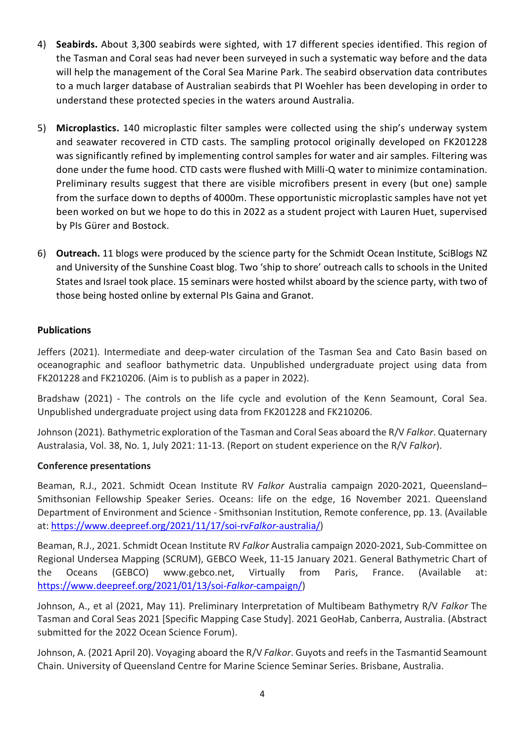- 4) **Seabirds.** About 3,300 seabirds were sighted, with 17 different species identified. This region of the Tasman and Coral seas had never been surveyed in such a systematic way before and the data will help the management of the Coral Sea Marine Park. The seabird observation data contributes to a much larger database of Australian seabirds that PI Woehler has been developing in order to understand these protected species in the waters around Australia.
- 5) **Microplastics.** 140 microplastic filter samples were collected using the ship's underway system and seawater recovered in CTD casts. The sampling protocol originally developed on FK201228 was significantly refined by implementing control samples for water and air samples. Filtering was done under the fume hood. CTD casts were flushed with Milli-Q water to minimize contamination. Preliminary results suggest that there are visible microfibers present in every (but one) sample from the surface down to depths of 4000m. These opportunistic microplastic samples have not yet been worked on but we hope to do this in 2022 as a student project with Lauren Huet, supervised by PIs Gürer and Bostock.
- 6) **Outreach.** 11 blogs were produced by the science party for the Schmidt Ocean Institute, SciBlogs NZ and University of the Sunshine Coast blog. Two 'ship to shore' outreach calls to schools in the United States and Israel took place. 15 seminars were hosted whilst aboard by the science party, with two of those being hosted online by external PIs Gaina and Granot.

## **Publications**

Jeffers (2021). Intermediate and deep-water circulation of the Tasman Sea and Cato Basin based on oceanographic and seafloor bathymetric data. Unpublished undergraduate project using data from FK201228 and FK210206. (Aim is to publish as a paper in 2022).

Bradshaw (2021) - The controls on the life cycle and evolution of the Kenn Seamount, Coral Sea. Unpublished undergraduate project using data from FK201228 and FK210206.

Johnson (2021). Bathymetric exploration of the Tasman and Coral Seas aboard the R/V *Falkor*. Quaternary Australasia, Vol. 38, No. 1, July 2021: 11-13. (Report on student experience on the R/V *Falkor*).

#### **Conference presentations**

Beaman, R.J., 2021. Schmidt Ocean Institute RV *Falkor* Australia campaign 2020-2021, Queensland– Smithsonian Fellowship Speaker Series. Oceans: life on the edge, 16 November 2021. Queensland Department of Environment and Science - Smithsonian Institution, Remote conference, pp. 13. (Available at: [https://www.deepreef.org/2021/11/17/soi-rv](https://www.deepreef.org/2021/11/17/soi-rvfalkor-australia/)*Falkor*-australia/)

Beaman, R.J., 2021. Schmidt Ocean Institute RV *Falkor* Australia campaign 2020-2021, Sub-Committee on Regional Undersea Mapping (SCRUM), GEBCO Week, 11-15 January 2021. General Bathymetric Chart of the Oceans (GEBCO) www.gebco.net, Virtually from Paris, France. (Available at: [https://www.deepreef.org/2021/01/13/soi-](https://www.deepreef.org/2021/01/13/soi-falkor-campaign/)*Falkor*-campaign/)

Johnson, A., et al (2021, May 11). Preliminary Interpretation of Multibeam Bathymetry R/V *Falkor* The Tasman and Coral Seas 2021 [Specific Mapping Case Study]. 2021 GeoHab, Canberra, Australia. (Abstract submitted for the 2022 Ocean Science Forum).

Johnson, A. (2021 April 20). Voyaging aboard the R/V *Falkor*. Guyots and reefs in the Tasmantid Seamount Chain. University of Queensland Centre for Marine Science Seminar Series. Brisbane, Australia.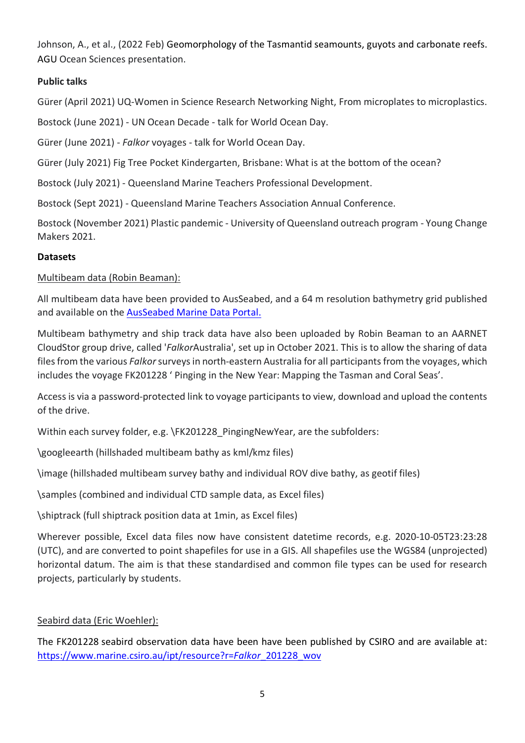Johnson, A., et al., (2022 Feb) Geomorphology of the Tasmantid seamounts, guyots and carbonate reefs. AGU Ocean Sciences presentation.

## **Public talks**

Gürer (April 2021) UQ-Women in Science Research Networking Night, From microplates to microplastics.

Bostock (June 2021) - UN Ocean Decade - talk for World Ocean Day.

Gürer (June 2021) - *Falkor* voyages - talk for World Ocean Day.

Gürer (July 2021) Fig Tree Pocket Kindergarten, Brisbane: What is at the bottom of the ocean?

Bostock (July 2021) - Queensland Marine Teachers Professional Development.

Bostock (Sept 2021) - Queensland Marine Teachers Association Annual Conference.

Bostock (November 2021) Plastic pandemic - University of Queensland outreach program - Young Change Makers 2021.

## **Datasets**

Multibeam data (Robin Beaman):

All multibeam data have been provided to AusSeabed, and a 64 m resolution bathymetry grid published and available on the [AusSeabed Marine Data Portal.](https://portal.ga.gov.au/persona/marine)

Multibeam bathymetry and ship track data have also been uploaded by Robin Beaman to an AARNET CloudStor group drive, called '*Falkor*Australia', set up in October 2021. This is to allow the sharing of data files from the various *Falkor*surveys in north-eastern Australia for all participants from the voyages, which includes the voyage FK201228 ' Pinging in the New Year: Mapping the Tasman and Coral Seas'.

Access is via a password-protected link to voyage participants to view, download and upload the contents of the drive.

Within each survey folder, e.g. \FK201228\_PingingNewYear, are the subfolders:

\googleearth (hillshaded multibeam bathy as kml/kmz files)

\image (hillshaded multibeam survey bathy and individual ROV dive bathy, as geotif files)

\samples (combined and individual CTD sample data, as Excel files)

\shiptrack (full shiptrack position data at 1min, as Excel files)

Wherever possible, Excel data files now have consistent datetime records, e.g. 2020-10-05T23:23:28 (UTC), and are converted to point shapefiles for use in a GIS. All shapefiles use the WGS84 (unprojected) horizontal datum. The aim is that these standardised and common file types can be used for research projects, particularly by students.

# Seabird data (Eric Woehler):

The FK201228 seabird observation data have been have been published by CSIRO and are available at: [https://www.marine.csiro.au/ipt/resource?r=](https://www.marine.csiro.au/ipt/resource?r=falkor_201228_wov)*Falkor*\_201228\_wov